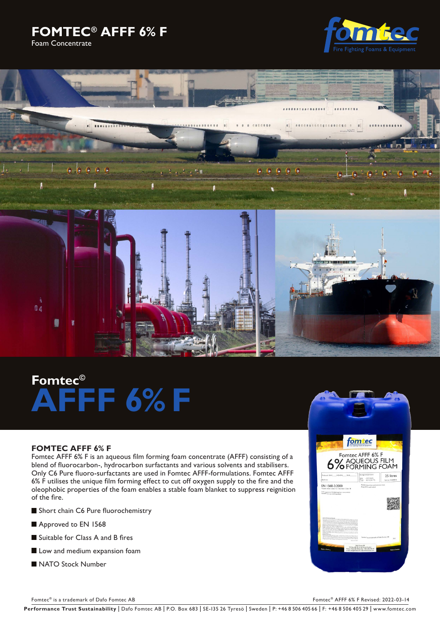





# **Fomtec© AFFF 6% F**

# **FOMTEC AFFF 6% F**

Fomtec AFFF 6% F is an aqueous film forming foam concentrate (AFFF) consisting of a blend of fluorocarbon-, hydrocarbon surfactants and various solvents and stabilisers. Only C6 Pure fluoro-surfactants are used in Fomtec AFFF-formulations. Fomtec AFFF 6% F utilises the unique film forming effect to cut off oxygen supply to the fire and the oleophobic properties of the foam enables a stable foam blanket to suppress reignition of the fire.

- Short chain C6 Pure fluorochemistry
- Approved to EN 1568
- Suitable for Class A and B fires
- Low and medium expansion foam
- NATO Stock Number



Fomtec® is a trademark of Dafo Fomtec AB Fomtec® AFFF 6% F Revised: 2022-03-14

Performance Trust Sustainability | Dafo Fomtec AB | P.O. Box 683 | SE-135 26 Tyresö | Sweden | P: +46 8 506 405 66 | F: +46 8 506 405 29 | www.fomtec.com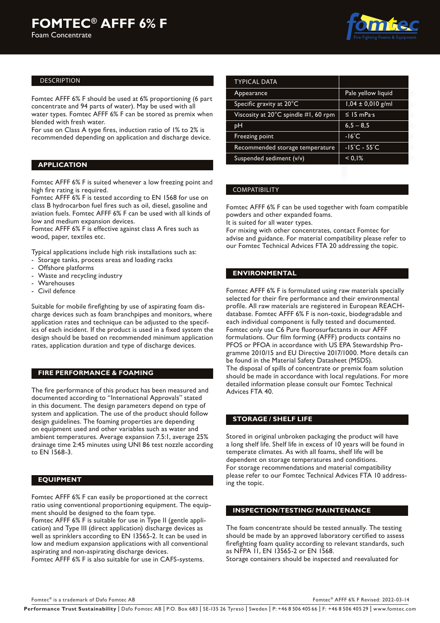#### DESCRIPTION

Fomtec AFFF 6% F should be used at 6% proportioning (6 part concentrate and 94 parts of water). May be used with all water types. Fomtec AFFF 6% F can be stored as premix when blended with fresh water.

For use on Class A type fires, induction ratio of 1% to 2% is recommended depending on application and discharge device.

### **APPLICATION**

Fomtec AFFF 6% F is suited whenever a low freezing point and high fire rating is required.

Fomtec AFFF 6% F is tested according to EN 1568 for use on class B hydrocarbon fuel fires such as oil, diesel, gasoline and aviation fuels. Fomtec AFFF 6% F can be used with all kinds of low and medium expansion devices.

Fomtec AFFF 6% F is effective against class A fires such as wood, paper, textiles etc.

Typical applications include high risk installations such as:

- Storage tanks, process areas and loading racks
- Offshore platforms
- Waste and recycling industry
- Warehouses
- Civil defence

Suitable for mobile firefighting by use of aspirating foam discharge devices such as foam branchpipes and monitors, where application rates and technique can be adjusted to the specifics of each incident. If the product is used in a fixed system the design should be based on recommended minimum application rates, application duration and type of discharge devices.

#### **FIRE PERFORMANCE & FOAMING**

The fire performance of this product has been measured and documented according to "International Approvals" stated in this document. The design parameters depend on type of system and application. The use of the product should follow design guidelines. The foaming properties are depending on equipment used and other variables such as water and ambient temperatures. Average expansion 7.5:1, average 25% drainage time 2:45 minutes using UNI 86 test nozzle according to EN 1568-3.

#### **EQUIPMENT**

Fomtec AFFF 6% F can easily be proportioned at the correct ratio using conventional proportioning equipment. The equipment should be designed to the foam type.

Fomtec AFFF 6% F is suitable for use in Type II (gentle application) and Type III (direct application) discharge devices as well as sprinklers according to EN 13565-2. It can be used in low and medium expansion applications with all conventional aspirating and non-aspirating discharge devices.

Fomtec AFFF 6% F is also suitable for use in CAFS-systems.

| <b>TYPICAL DATA</b>                  |                                   |  |
|--------------------------------------|-----------------------------------|--|
| Appearance                           | Pale yellow liquid                |  |
| Specific gravity at 20°C             | $1,04 \pm 0,010$ g/ml             |  |
| Viscosity at 20°C spindle #1, 60 rpm | $\leq$ 15 mPas                    |  |
| рH                                   | $6,5 - 8,5$                       |  |
| Freezing point                       | $-16^{\circ}$ C                   |  |
| Recommended storage temperature      | $-15^{\circ}$ C - 55 $^{\circ}$ C |  |
| Suspended sediment (v/v)             | < 0.1%                            |  |

### COMPATIBILITY

Fomtec AFFF 6% F can be used together with foam compatible powders and other expanded foams.

It is suited for all water types.

For mixing with other concentrates, contact Fomtec for advise and guidance. For material compatibility please refer to our Fomtec Technical Advices FTA 20 addressing the topic.

# **ENVIRONMENTAL**

Fomtec AFFF 6% F is formulated using raw materials specially selected for their fire performance and their environmental profile. All raw materials are registered in European REACHdatabase. Fomtec AFFF 6% F is non-toxic, biodegradable and each individual component is fully tested and documented. Fomtec only use C6 Pure fluorosurfactants in our AFFF formulations. Our film forming (AFFF) products contains no PFOS or PFOA in accordance with US EPA Stewardship Programme 2010/15 and EU Directive 2017/1000. More details can be found in the Material Safety Datasheet (MSDS). The disposal of spills of concentrate or premix foam solution should be made in accordance with local regulations. For more detailed information please consult our Fomtec Technical Advices FTA 40.

#### **STORAGE / SHELF LIFE**

Stored in original unbroken packaging the product will have a long shelf life. Shelf life in excess of 10 years will be found in temperate climates. As with all foams, shelf life will be dependent on storage temperatures and conditions. For storage recommendations and material compatibility please refer to our Fomtec Technical Advices FTA 10 addressing the topic.

#### **INSPECTION/TESTING/ MAINTENANCE**

The foam concentrate should be tested annually. The testing should be made by an approved laboratory certified to assess firefighting foam quality according to relevant standards, such as NFPA 11, EN 13565-2 or EN 1568.

Storage containers should be inspected and reevaluated for

Performance Trust Sustainability | Dafo Fomtec AB | P.O. Box 683 | SE-135 26 Tyresö | Sweden | P: +46 8 506 405 66 | F: +46 8 506 405 29 | www.fomtec.com